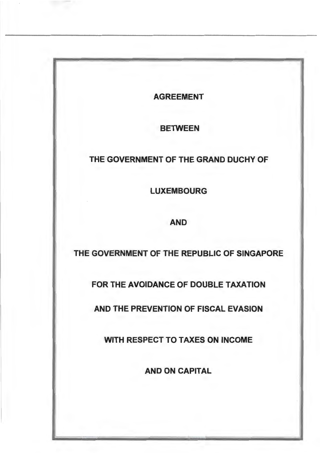AGREEMENT

**BETWEEN** 

THE GOVERNMENT OF THE GRAND DUCHY OF

LUXEMBOURG

AND

THE GOVERNMENT OF THE REPUBLIC OF SINGAPORE

FOR THE AVOIDANCE OF DOUBLE TAXATION

AND THE PREVENTION OF FISCAL EVASION

WITH RESPECT TO TAXES ON INCOME

AND ON CAPITAL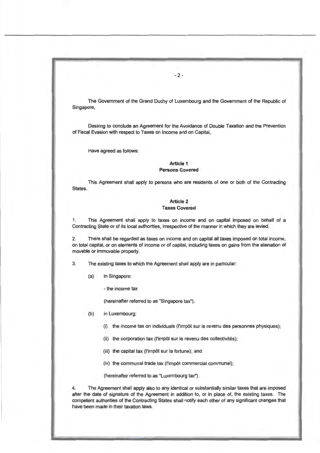The Government of the Grand Duchy of Luxembourg and the Government of the Republic of Singapore,

Desiring to conclude an Agreement for the Avoidance of Double Taxation and the Prevention of Fiscal Evasion with respect to Taxes on Income and on Capital,

Have agreed as follows:

### **Article 1 Persons Covered**

This Agreement shall apply to persons who are residents of one or both of the Contracting States.

## **Article 2 Taxes Covered**

1. This Agreement shall apply to taxes on income and on capital imposed on behalf of a Contracting State or of its local authorities, irrespective of the manner in which they are levied.

2. There shall be regarded as taxes on income and on capital all taxes imposed on total income, on total capital, or on elements of income or of capital, including taxes on gains from the alienation of movable or immovable property.

3. The existing taxes to which the Agreement shall apply are in particular:

- (a) in Singapore:
	- the income tax

(hereinafter referred to as "Singapore tax");

- (b) in Luxembourg:
	- (i) the income tax on individuals (l'imp6t sur le revenu des personnes physiques);
	- (ii) the corporation tax (l'impôt sur le revenu des collectivités);
	- (iii) the capital tax (l'imp6t sur Ia fortune); and
	- (iv) the communal trade tax (l'imp6t commercial communal);

(hereinafter referred to as "Luxembourg tax").

4. The Agreement shall apply also to any identical or substantially similar taxes that are imposed after the date of signature of the Agreement in addition to, or in place of, the existing taxes. The competent authorities of the Contracting States shall notify each other of any significant changes that have been made in their taxation laws.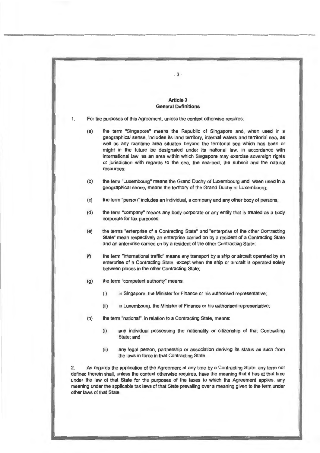### **Article 3 General Definitions**

1. For the purposes of this Agreement, unless the context otherwise requires:

(a) the term "Singapore" means the Republic of Singapore and, when used in a geographical sense, includes its land territory, internal waters and territorial sea, as well as any maritime area situated beyond the territorial sea which has been or might in the future be designated under its national law, in accordance with international law, as an area within which Singapore may exercise sovereign rights or jurisdiction with regards to the sea, the sea-bed, the subsoil and the natural resources;

- (b) the term "Luxembourg" means the Grand Duchy of Luxembourg and, when used in a geographical sense, means the territory of the Grand Duchy of Luxembourg;
- (c) the term "person" includes an individual, a company and any other body of persons;
- (d) the term "company" means any body corporate or any entity that is treated as a body corporate for tax purposes;
- (e) the terms "enterprise of a Contracting State" and "enterprise of the other Contracting State" mean respectively an enterprise carried on by a resident of a Contracting State and an enterprise carried on by a resident of the other Contracting State;
- (f) the term "international traffic" means any transport by a ship or aircraft operated by an enterprise of a Contracting State, except when the ship or aircraft is operated solely between places in the other Contracting State;
- (g) the term "competent authority" means:
	- (i) in Singapore, the Minister for Finance or his authorised representative;
	- (ii) in Luxembourg, the Minister of Finance or his authorised representative;
- (h) the term "national", in relation to a Contracting State, means:
	- (i) any individual possessing the nationality or citizenship of that Contracting State; and
	- (ii) any legal person, partnership or association deriving its status as such from the laws in force in that Contracting State.

2. As regards the application of the Agreement at any time by a Contracting State, any term not defined therein shall, unless the context otherwise requires, have the meaning that it has at that time under the law of that State for the purposes of the taxes to which the Agreement applies, any meaning under the applicable tax laws of that State prevailing over a meaning given to the term under other laws of that State.

- 3-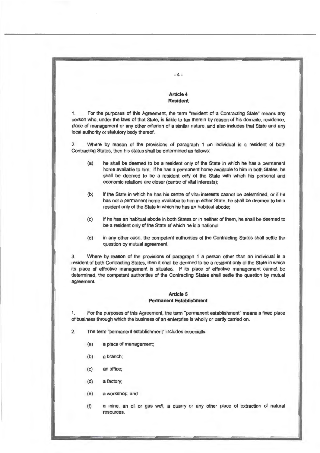# **Article 4 Resident**

 $-4-$ 

1. For the purposes of this Agreement, the term "resident of a Contracting State" means any person who, under the laws of that State, is liable to tax therein by reason of his domicile, residence, place of management or any other criterion of a similar nature, and also includes that State and any local authority or statutory body thereof.

2. Where by reason of the provisions of paragraph 1 an individual is a resident of both Contracting States, then his status shall be determined as follows:

- (a) he shall be deemed to be a resident only of the State in which he has a permanent home available to him; if he has a permanent home available to him in both States, he shall be deemed to be a resident only of the State with which his personal and economic relations are closer (centre of vital interests);
- (b) if the State in which he has his centre of vital interests cannot be determined, or if he has not a permanent home available to him in either State, he shall be deemed to be a resident only of the State in which he has an habitual abode;
- (c) if he has an habitual abode in both States or in neither of them, he shall be deemed to be a resident only of the State of which he is a national;
- (d) in any other case, the competent authorities of the Contracting States shall settle the question by mutual agreement.

3. Where by reason of the provisions of paragraph 1 a person other than an individual is a resident of both Contracting States, then it shall be deemed to be a resident only of the State in which its place of effective management is situated. If its place of effective management cannot be determined, the competent authorities of the Contracting States shall settle the question by mutual agreement.

### **Article 5 Permanent Establishment**

1. For the purposes of this Agreement, the term "permanent establishment" means a fixed place of business through which the business of an enterprise is wholly or partly carried on.

- 2. The term "permanent establishment" includes especially:
	- (a) a place of management;
	- (b) a branch;
	- (c) an office;
	- (d) a factory;
	- (e) a workshop; and
	- (f) a mine, an oil or gas well, a quarry or any other place of extraction of natural resources.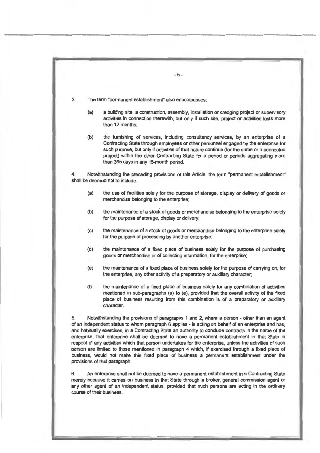- 3. The term "permanent establishment" also encompasses:
	- (a) a building site, a construction, assembly, installation or dredging project or supervisory activities in connection therewith, but only if such site, project or activities lasts more than 12 months:

- 5-

(b) the furnishing of services, including consultancy services, by an enterprise of a Contracting State through employees or other personnel engaged by the enterprise for such purpose, but only if activities of that nature continue (for the same or a connected project) within the other Contracting State for a period or periods aggregating more than 365 days in any 15-month period.

4. Notwithstanding the preceding provisions of this Article, the term "permanent establishment" shall be deemed not to include:

- (a) the use of facilities solely for the purpose of storage, display or delivery of goods or merchandise belonging to the enterprise;
- (b) the maintenance of a stock of goods or merchandise belonging to the enterprise solely for the purpose of storage, display or delivery;
- (c) the maintenance of a stock of goods or merchandise belonging to the enterprise solely for the purpose of processing by another enterprise;
- (d) the maintenance of a fixed place of business solely for the purpose of purchasing goods or merchandise or of collecting information, for the enterprise;
- (e) the maintenance of a fixed place of business solely for the purpose of carrying on, for the enterprise, any other activity of a preparatory or auxiliary character;
- (f) the maintenance of a fixed place of business solely for any combination of activities mentioned in sub-paragraphs (a) to (e), provided that the overall activity of the fixed place of business resulting from this combination is of a preparatory or auxiliary character.

5. Notwithstanding the provisions of paragraphs 1 and 2, where a person - other than an agent of an independent status to whom paragraph 6 applies - is acting on behalf of an enterprise and has, and habitually exercises, in a Contracting State an authority to conclude contracts in the name of the enterprise, that enterprise shall be deemed to have a permanent establishment in that State in respect of any activities which that person undertakes for the enterprise, unless the activities of such person are limited to those mentioned in paragraph 4 which, if exercised through a fixed place of business, would not make this fixed place of business a permanent establishment under the provisions of that paragraph.

6. An enterprise shall not be deemed to have a permanent establishment in a Contracting State merely because it carries on business in that State through a broker, general commission agent or any other agent of an independent status, provided that such persons are acting in the ordinary course of their business.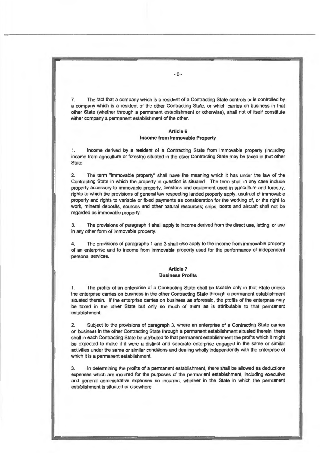7. The fact that a company which is a resident of a Contracting State controls or is controlled by a company which is a resident of the other Contracting State, or which carries on business in that other State (whether through a permanent establishment or otherwise), shall not of itself constitute either company a permanent establishment of the other.

#### **Article 6 Income from Immovable Property**

1. Income derived by a resident of a Contracting State from immovable property (including income from agriculture or forestry) situated in the other Contracting State may be taxed in that other State.

2. The term "immovable property" shall have the meaning which it has under the law of the Contracting State in which the property in question is situated. The term shall in any case include property accessory to immovable property, livestock and equipment used in agriculture and forestry, rights to which the provisions of general law respecting landed property apply, usufruct of immovable property and rights to variable or fixed payments as consideration for the working of, or the right to work, mineral deposits, sources and other natural resources; ships, boats and aircraft shall not be regarded as immovable property.

3. The provisions of paragraph 1 shall apply to income derived from the direct use, letting, or use in any other form of immovable property.

4. The provisions of paragraphs 1 and 3 shall also apply to the income from immovable property of an enterprise and to income from immovable property used for the performance of independent personal services.

# **Article 7 Business Profits**

1. The profits of an enterprise of a Contracting State shall be taxable only in that State unless the enterprise carries on business in the other Contracting State through a permanent establishment situated therein. If the enterprise carries on business as aforesaid, the profits of the enterprise may be taxed in the other State but only so much of them as is attributable to that permanent establishment.

2. Subject to the provisions of paragraph 3, where an enterprise of a Contracting State carries on business in the other Contracting State through a permanent establishment situated therein, there shall in each Contracting State be attributed to that permanent establishment the profits which it might be expected to make if it were a distinct and separate enterprise engaged in the same or similar activities under the same or similar conditions and dealing wholly independently with the enterprise of which it is a permanent establishment.

3. In determining the profits of a permanent establishment, there shall be allowed as deductions expenses which are incurred for the purposes of the permanent establishment, including executive and general administrative expenses so incurred, whether in the State in which the permanent establishment is situated or elsewhere.

- 6-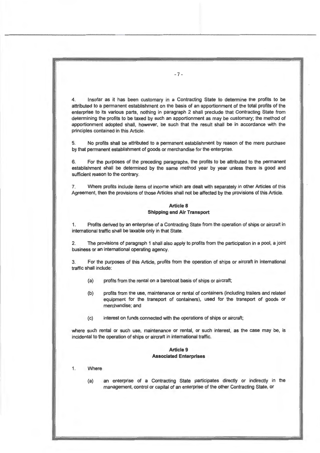4. Insofar as it has been customary in a Contracting State to determine the profits to be attributed to a permanent establishment on the basis of an apportionment of the total profits of the enterprise to its various parts, nothing in paragraph 2 shall preclude that Contracting State from determining the profits to be taxed by such an apportionment as may be customary; the method of apportionment adopted shall, however, be such that the result shall be in accordance with the principles contained in this Article.

5. No profits shall be attributed to a permanent establishment by reason of the mere purchase by that permanent establishment of goods or merchandise for the enterprise.

6. For the purposes of the preceding paragraphs, the profits to be attributed to the permanent establishment shall be determined by the same method year by year unless there is good and sufficient reason to the contrary.

7. Where profits include items of income which are dealt with separately in other Articles of this Agreement, then the provisions of those Articles shall not be affected by the provisions of this Article.

### **Article 8 Shipping and Air Transport**

1. Profits derived by an enterprise of a Contracting State from the operation of ships or aircraft in international traffic shall be taxable only in that State.

2. The provisions of paragraph 1 shall also apply to profits from the participation in a pool, a joint business or an international operating agency.

3. For the purposes of this Article, profits from the operation of ships or aircraft in international traffic shall include:

- (a) profits from the rental on a bareboat basis of ships or aircraft;
- (b) profits from the use, maintenance or rental of containers (including trailers and related equipment for the transport of containers), used for the transport of goods or merchandise; and
- (c) interest on funds connected with the operations of ships or aircraft;

where such rental or such use, maintenance or rental, or such interest, as the case may be, is incidental to the operation of ships or aircraft in international traffic.

### **Article 9 Associated Enterprises**

- 1. Where
	- (a) an enterprise of a Contracting State participates directly or indirectly in the management, control or capital of an enterprise of the other Contracting State, or

#### - 7 -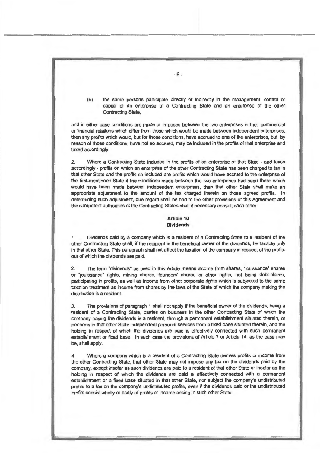(b) the same persons participate directly or indirectly in the management, control or capital of an enterprise of a Contracting State and an enterprise of the other Contracting State,

and in either case conditions are made or imposed between the two enterprises in their commercial or financial relations which differ from those which would be made between independent enterprises, then any profits which would, but for those conditions, have accrued to one of the enterprises, but, by reason of those conditions, have not so accrued, may be included in the profits of that enterprise and taxed accordingly.

2. Where a Contracting State includes in the profits of an enterprise of that State - and taxes accordingly - profits on which an enterprise of the other Contracting State has been charged to tax in that other State and the profits so included are profits which would have accrued to the enterprise of the first-mentioned State if the conditions made between the two enterprises had been those which would have been made between independent enterprises, then that other State shall make an appropriate adjustment to the amount of the tax charged therein on those agreed profits. In determining such adjustment, due regard shall be had to the other provisions of this Agreement and the competent authorities of the Contracting States shall if necessary consult each other.

#### **Article 10 Dividends**

1. Dividends paid by a company which is a resident of a Contracting State to a resident of the other Contracting State shall, if the recipient is the beneficial owner of the dividends, be taxable only in that other State. This paragraph shall not affect the taxation of the company in respect of the profits out of which the dividends are paid.

2. The term "dividends" as used in this Article means income from shares, "jouissance" shares or "jouissance" rights, mining shares, founders' shares or other rights, not being debt-claims, participating in profits, as well as income from other corporate rights which is subjected to the same taxation treatment as income from shares by the laws of the State of which the company making the distribution is a resident.

3. The provisions of paragraph 1 shall not apply if the beneficial owner of the dividends, being a resident of a Contracting State, carries on business in the other Contracting State of which the company paying the dividends is a resident, through a permanent establishment situated therein, or performs in that other State independent personal services from a fixed base situated therein, and the holding in respect of which the dividends are paid is effectively connected with such permanent establishment or fixed base. In such case the provisions of Article 7 or Article 14, as the case may be, shall apply.

4. Where a company which is a resident of a Contracting State derives profits or income from the other Contracting State, that other State may not impose any tax on the dividends paid by the company, except insofar as such dividends are paid to a resident of that other State or insofar as the holding in respect of which the dividends are paid is effectively connected with a permanent establishment or a fixed base situated in that other State, nor subject the company's undistributed profits to a tax on the company's undistributed profits, even if the dividends paid or the undistributed profits consist wholly or partly of profits or income arising in such other State.

- 8-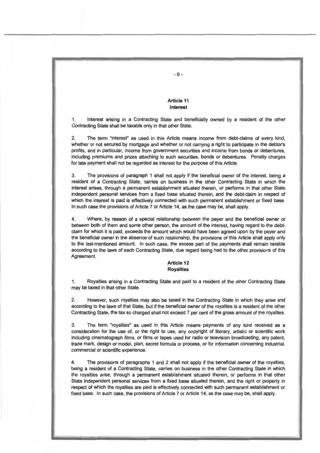**Article 11 Interest** 

1. Interest arising in a Contracting State and beneficially owned by a resident of the other Contracting State shall be taxable only in that other State.

2. The term "interest" as used in this Article means income from debt-claims of every kind, whether or not secured by mortgage and whether or not carrying a right to participate in the debtor's profits, and in particular, income from government securities and income from bonds or debentures, including premiums and prizes attaching to such securities, bonds or debentures. Penalty charges for late payment shall not be regarded as interest for the purpose of this Article.

3. The provisions of paragraph 1 shall not apply if the beneficial owner of the interest, being a resident of a Contracting State, carries on business in the other Contracting State in which the interest arises, through a permanent establishment situated therein, or performs in that other State independent personal services from a fixed base situated therein, and the debt-claim in respect of which the interest is paid is effectively connected with such permanent establishment or fixed base. In such case the provisions of Article 7 or Article 14, as the case may be, shall apply.

4. Where, by reason of a special relationship between the payer and the beneficial owner or between both of them and some other person, the amount of the interest, having regard to the debtclaim for which it is paid, exceeds the amount which would have been agreed upon by the payer and the beneficial owner in the absence of such relationship, the provisions of this Article shall apply only to the last-mentioned amount. In such case, the excess part of the payments shall remain taxable according to the laws of each Contracting State, due regard being had to the other provisions of this Agreement.

#### **Article 12 Royalties**

1. Royalties arising in a Contracting State and paid to a resident of the other Contracting State may be taxed in that other State.

2. However, such royalties may also be taxed in the Contracting State in which they arise and according to the laws of that State, but if the beneficial owner of the royalties is a resident of the other Contracting State, the tax so charged shall not exceed 7 per cent of the gross amount of the royalties.

3. The term "royalties" as used in this Article means payments of any kind received as a consideration for the use of, or the right to use, any copyright of literary, artistic or scientific work including cinematograph films, or films or tapes used for radio or television broadcasting, any patent, trade mark, design or model, plan, secret formula or process, or for information concerning industrial, commercial or scientific experience.

4. The provisions of paragraphs 1 and 2 shall not apply if the beneficial owner of the royalties, being a resident of a Contracting State, carries on business in the other Contracting State in which the royalties arise, through a permanent establishment situated therein, or performs in that other State independent personal services from a fixed base situated therein, and the right or property in respect of which the royalties are paid is effectively connected with such permanent establishment or fixed base. In such case, the provisions of Article 7 or Article 14, as the case may be, shall apply.

- 9 -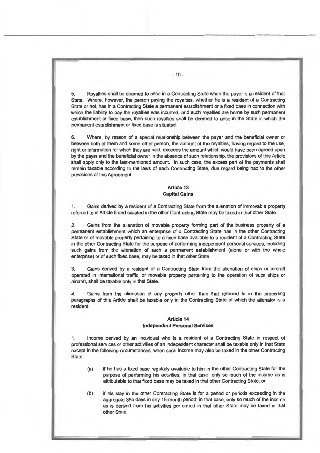5. Royalties shall be deemed to arise in a Contracting State when the payer is a resident of that State. Where, however, the person paying the royalties, whether he is a resident of a Contracting State or not, has in a Contracting State a permanent establishment or a fixed base in connection with which the liability to pay the royalties was incurred, and such royalties are bome by such permanent establishment or fixed base, then such royalties shall be deemed to arise in the State in which the permanent establishment or fixed base is situated.

6. Where, by reason of a special relationship between the payer and the beneficial owner or between both of them and some other person, the amount of the royalties, having regard to the use, right or information for which they are paid, exceeds the amount which would have been agreed upon by the payer and the beneficial owner in the absence of such relationship, the provisions of this Article shall apply only to the last-mentioned amount. In such case, the excess part of the payments shall remain taxable according to the laws of each Contracting State, due regard being had to the other provisions of this Agreement.

### **Article 13 Capital Gains**

1. Gains derived by a resident of a Contracting State from the alienation of immovable property referred to in Article 6 and situated in the other Contracting State may be taxed in that other State.

2. Gains from the alienation of movable property forming part of the business property of a permanent establishment which an enterprise of a Contracting State has in the other Contracting State or of movable property pertaining to a fixed base available to a resident of a Contracting State in the other Contracting State for the purpose of performing independent personal services, including such gains from the alienation of such a permanent establishment (alone or with the whole enterprise) or of such fixed base, may be taxed in that other State.

3. Gains derived by a resident of a Contracting State from the alienation of ships or aircraft operated in international traffic, or movable property pertaining to the operation of such ships or aircraft, shall be taxable only in that State.

4. Gains from the alienation of any property other than that referred to in the preceding paragraphs of this Article shall be taxable only in the Contracting State of which the alienator is a resident.

### **Article 14**

#### **Independent Personal Services**

1. Income derived by an individual who is a resident of a Contracting State in respect of professional services or other activities of an independent character shall be taxable only in that State except in the following circumstances, when such income may also be taxed in the other Contracting State:

- (a) if he has a fixed base regularly available to him in the other Contracting State for the purpose of performing his activities; in that case, only so much of the income as is attributable to that fixed base may be taxed in that other Contracting State; or
- (b) if his stay in the other Contracting State is for a period or periods exceeding in the aggregate 365 days in any 15-month period; in that case, only so much of the income as is derived from his activities performed in that other State may be taxed in that other State.

- 10-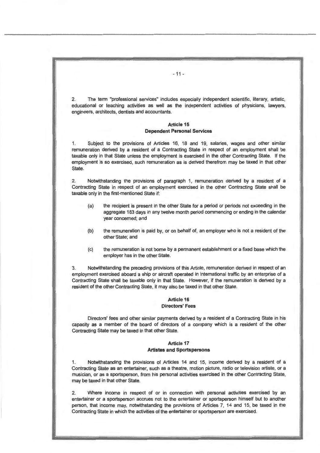2. The term "professional services" includes especially independent scientific, literary, artistic, educational or teaching activities as well as the independent activities of physicians, lawyers, engineers, architects, dentists and accountants.

### **Article 15 Dependent Personal Services**

1. Subject to the provisions of Articles 16, 18 and 19, salaries, wages and other similar remuneration derived by a resident of a Contracting State in respect of an employment shall be taxable only in that State unless the employment is exercised in the other Contracting State. If the employment is so exercised, such remuneration as is derived therefrom may be taxed in that other State.

2. Notwithstanding the provisions of paragraph 1, remuneration derived by a resident of a Contracting State in respect of an employment exercised in the other Contracting State shall be taxable only in the first-mentioned State if:

- (a) the recipient is present in the other State for a period or periods not exceeding in the aggregate 183 days in any twelve month period commencing or ending in the calendar year concerned; and
- (b) the remuneration is paid by, or on behalf of, an employer who is not a resident of the other State; and
- (c) the remuneration is not borne by a permanent establishment or a fixed base which the employer has in the other State.

3. Notwithstanding the preceding provisions of this Article, remuneration derived in respect of an employment exercised aboard a ship or aircraft operated in international traffic by an enterprise of a Contracting State shall be taxable only in that State. However, if the remuneration is derived by a resident of the other Contracting State, it may also be taxed in that other State.

#### **Article 16 Directors' Fees**

Directors' fees and other similar payments derived by a resident of a Contracting State in his capacity as a member of the board of directors of a company which is a resident of the other

Contracting State may be taxed in that other State.

# **Article 17 Artistes and Sportspersons**

1. Notwithstanding the provisions of Articles 14 and 15, income derived by a resident of a Contracting State as an entertainer, such as a theatre, motion picture, radio or television artiste, or a musician, or as a sportsperson, from his personal activities exercised in the other Contracting State, may be taxed in that other State.

2. Where income in respect of or in connection with personal activities exercised by an entertainer or a sportsperson accrues not to the entertainer or sportsperson himself but to another person, that income may, notwithstanding the provisions of Articles 7, 14 and 15, be taxed in the Contracting State in which the activities of the entertainer or sportsperson are exercised.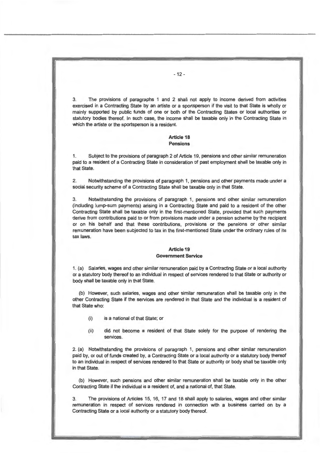3. The provisions of paragraphs 1 and 2 shall not apply to income derived from activities exercised in a Contracting State by an artiste or a sportsperson if the visit to that State is wholly or mainly supported by public funds of one or both of the Contracting States or local authorities or statutory bodies thereof. In such case, the income shall be taxable only in the Contracting State in which the artiste or the sportsperson is a resident.

### **Article 18 Pensions**

1. Subject to the provisions of paragraph 2 of Article 19, pensions and other similar remuneration paid to a resident of a Contracting State in consideration of past employment shall be taxable only in that State.

2. Notwithstanding the provisions of paragraph 1, pensions and other payments made under a social security scheme of a Contracting State shall be taxable only in that State.

3. Notwithstanding the provisions of paragraph 1, pensions and other similar remuneration (including lump-sum payments) arising in a Contracting State and paid to a resident of the other Contracting State shall be taxable only in the first-mentioned State, provided that such payments derive from contributions paid to or from provisions made under a pension scheme by the recipient or on his behalf and that these contributions, provisions or the pensions or other similar remuneration have been subjected to tax in the first-mentioned State under the ordinary rules of its tax laws.

#### **Article 19 Government Service**

1. (a) Salaries, wages and other similar remuneration paid by a Contracting State or a local authority or a statutory body thereof to an individual in respect of services rendered to that State or authority or body shall be taxable only in that State.

(b) However, such salaries, wages and other similar remuneration shall be taxable only in the other Contracting State if the services are rendered in that State and the individual is a resident of that State who:

- (i) is a national of that State; or
- (ii) did not become a resident of that State solely for the purpose of rendering the services.

2. (a) Notwithstanding the provisions of paragraph 1, pensions and other similar remuneration paid by, or out of funds created by, a Contracting State or a local authority or a statutory body thereof to an individual in respect of services rendered to that State or authority or body shall be taxable only in that State.

(b) However, such pensions and other similar remuneration shall be taxable only in the other Contracting State if the individual is a resident of, and a national of, that State.

3. The provisions of Articles 15, 16, 17 and 18 shall apply to salaries, wages and other similar remuneration in respect of services rendered in connection with a business carried on by a Contracting State or a local authority or a statutory body thereof.

- 12-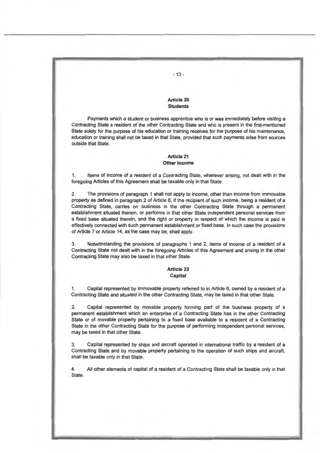# **Article 20 Students**

Payments which a student or business apprentice who is or was immediately before visiting a Contracting State a resident of the other Contracting State and who is present in the first-mentioned State solely for the purpose of his education or training receives for the purpose of his maintenance, education or training shall not be taxed in that State, provided that such payments arise from sources outside that State.

### **Article 21 Other Income**

1. Items of income of a resident of a Contracting State, wherever arising, not dealt with in the foregoing Articles of this Agreement shall be taxable only in that State.

2. The provisions of paragraph 1 shall not apply to income, other than income from immovable property as defined in paragraph 2 of Article 6, if the recipient of such income, being a resident of a Contracting State, carries on business in the other Contracting State through a permanent establishment situated therein, or performs in that other State independent personal services from a fixed base situated therein, and the right or property in respect of which the income is paid is effectively connected with such permanent establishment or fixed base. In such case the provisions of Article 7 or Article 14, as the case may be, shall apply.

3. Notwithstanding the provisions of paragraphs 1 and 2, items of income of a resident of a Contracting State not dealt with in the foregoing Articles of this Agreement and arising in the other Contracting State may also be taxed in that other State.

# **Article 22 Capital**

Capital represented by immovable property referred to in Article 6, owned by a resident of a Contracting State and situated in the other Contracting State, may be taxed in that other State.

2. Capital represented by movable property forming part of the business property of a permanent establishment which an enterprise of a Contracting State has in the other Contracting State or of movable property pertaining to a fixed base available to a resident of a Contracting State in the other Contracting State for the purpose of performing independent personal services, may be taxed in that other State.

Capital represented by ships and aircraft operated in international traffic by a resident of a Contracting State and by movable property pertaining to the operation of such ships and aircraft, shall be taxable only in that State.

4. All other elements of capital of a resident of a Contracting State shall be taxable only in that State.

-13-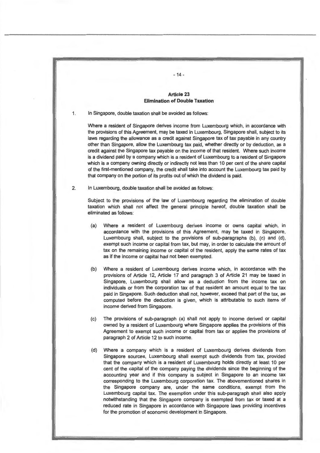# **Article 23 Elimination of Double Taxation**

- 14-

1. In Singapore, double taxation shall be avoided as follows:

Where a resident of Singapore derives income from Luxembourg which, in accordance with the provisions of this Agreement, may be taxed in Luxembourg, Singapore shall, subject to its laws regarding the allowance as a credit against Singapore tax of tax payable in any country other than Singapore, allow the Luxembourg tax paid, whether directly or by deduction, as a credit against the Singapore tax payable on the income of that resident. Where such income is a dividend paid by a company which is a resident of Luxembourg to a resident of Singapore which is a company owning directly or indirectly not less than 10 per cent of the share capital of the first-mentioned company, the credit shall take into account the Luxembourg tax paid by that company on the portion of its profits out of which the dividend is paid.

2. In Luxembourg, double taxation shall be avoided as follows:

Subject to the provisions of the law of Luxembourg regarding the elimination of double taxation which shall not affect the general principle hereof, double taxation shall be eliminated as follows:

- (a) Where a resident of Luxembourg derives income or owns capital which, in accordance with the provisions of this Agreement, may be taxed in Singapore, Luxembourg shall, subject to the provisions of sub-paragraphs (b), (c) and (d), exempt such income or capital from tax, but may, in order to calculate the amount of tax on the remaining income or capital of the resident, apply the same rates of tax as if the income or capital had not been exempted.
- (b) Where a resident of Luxembourg derives income which, in accordance with the provisions of Article 12, Article 17 and paragraph 3 of Article 21 may be taxed in Singapore, Luxembourg shall allow as a deduction from the income tax on individuals or from the corporation tax of that resident an amount equal to the tax paid in Singapore. Such deduction shall not, however, exceed that part of the tax, as computed before the deduction is given, which is attributable to such items of income derived from Singapore.
- (c) The provisions of sub-paragraph (a) shall not apply to income derived or capital owned by a resident of Luxembourg where Singapore applies the provisions of this Agreement to exempt such income or capital from tax or applies the provisions of paragraph 2 of Article 12 to such income.
- (d) Where a company which is a resident of Luxembourg derives dividends from Singapore sources, Luxembourg shall exempt such dividends from tax, provided that the company which is a resident of Luxembourg holds directly at least 10 per cent of the capital of the company paying the dividends since the beginning of the accounting year and if this company is subject in Singapore to an income tax corresponding to the Luxembourg corporation tax. The abovementioned shares in the Singapore company are, under the same conditions, exempt from the Luxembourg capital tax. The exemption under this sub-paragraph shall also apply notwithstanding that the Singapore company is exempted from tax or taxed at a reduced rate in Singapore in accordance with Singapore laws providing incentives for the promotion of economic development in Singapore.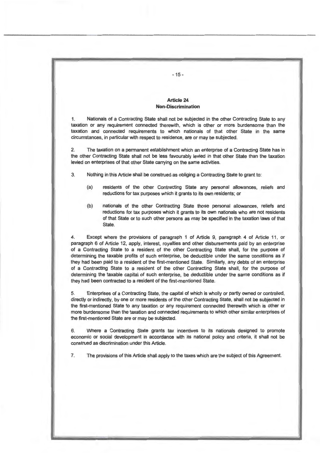### **Article 24 Non-Discrimination**

1. Nationals of a Contracting State shall not be subjected in the other Contracting State to any taxation or any requirement connected therewith, which is other or more burdensome than the taxation and connected requirements to which nationals of that other State in the same circumstances, in particular with respect to residence, are or may be subjected.

2. The taxation on a permanent establishment which an enterprise of a Contracting State has in the other Contracting State shall not be less favourably levied in that other State than the taxation levied on enterprises of that other State carrying on the same activities.

3. Nothing in this Article shall be construed as obliging a Contracting State to grant to:

- (a) residents of the other Contracting State any personal allowances, reliefs and reductions for tax purposes which it grants to its own residents; or
- (b) nationals of the other Contracting State those personal allowances, reliefs and reductions for tax purposes which it grants to its own nationals who are not residents of that State or to such other persons as may be specified in the taxation laws of that State.

4. Except where the provisions of paragraph 1 of Article 9, paragraph 4 of Article 11, or paragraph 6 of Article 12, apply, interest, royalties and other disbursements paid by an enterprise of a Contracting State to a resident of the other Contracting State shall, for the purpose of determining the taxable profits of such enterprise, be deductible under the same conditions as if they had been paid to a resident of the first-mentioned State. Similarly, any debts of an enterprise of a Contracting State to a resident of the other Contracting State shall, for the purpose of determining the taxable capital of such enterprise, be deductible under the same conditions as if they had been contracted to a resident of the first-mentioned State.

5. Enterprises of a Contracting State, the capital of which is wholly or partly owned or controlled, directly or indirectly, by one or more residents of the other Contracting State, shall not be subjected in the first-mentioned State to any taxation or any requirement connected therewith which is other or more burdensome than the taxation and connected requirements to which other similar enterprises of the first-mentioned State are or may be subjected.

6. Where a Contracting State grants tax incentives to its nationals designed to promote economic or social development in accordance with its national policy and criteria, it shall not be construed as discrimination under this Article.

7. The provisions of this Article shall apply to the taxes which are the subject of this Agreement.

# - 15-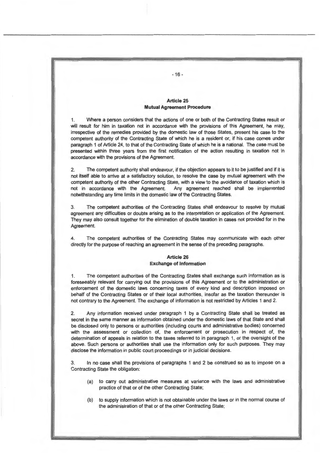### **Article 25 Mutual Agreement Procedure**

1. Where a person considers that the actions of one or both of the Contracting States result or will result for him in taxation not in accordance with the provisions of this Agreement, he may, irrespective of the remedies provided by the domestic law of those States, present his case to the competent authority of the Contracting State of which he is a resident or, if his case comes under paragraph 1 of Article 24, to that of the Contracting State of which he is a national. The case must be presented within three years from the first notification of the action resulting in taxation not in accordance with the provisions of the Agreement.

2. The competent authority shall endeavour, if the objection appears to it to be justified and if it is not itself able to arrive at a satisfactory solution, to resolve the case by mutual agreement with the competent authority of the other Contracting State, with a view to the avoidance of taxation which is not in accordance with the Agreement. Any agreement reached shall be implemented notwithstanding any time limits in the domestic law of the Contracting States.

3. The competent authorities of the Contracting States shall endeavour to resolve by mutual agreement any difficulties or doubts arising as to the interpretation or application of the Agreement. They may also consult together for the elimination of double taxation in cases not provided for in the Agreement.

4. The competent authorities of the Contracting States may communicate with each other directly for the purpose of reaching an agreement in the sense of the preceding paragraphs.

# **Article 26 Exchange of Information**

1. The competent authorities of the Contracting States shall exchange such information as is foreseeably relevant for carrying out the provisions of this Agreement or to the administration or enforcement of the domestic laws concerning taxes of every kind and description imposed on behalf of the Contracting States or of their local authorities, insofar as the taxation thereunder is not contrary to the Agreement. The exchange of information is not restricted by Articles 1 and 2.

2. Any information received under paragraph 1 by a Contracting State shall be treated as secret in the same manner as information obtained under the domestic laws of that State and shall be disclosed only to persons or authorities (including courts and administrative bodies) concerned with the assessment or collection of, the enforcement or prosecution in respect of, the determination of appeals in relation to the taxes referred to in paragraph 1 , or the oversight of the above. Such persons or authorities shall use the information only for such purposes. They may disclose the information in public court proceedings or in judicial decisions.

3. In no case shall the provisions of paragraphs 1 and 2 be construed so as to impose on a Contracting State the obligation:

- (a) to carry out administrative measures at variance with the laws and administrative practice of that or of the other Contracting State;
- (b) to supply information which is not obtainable under the laws or in the normal course of the administration of that or of the other Contracting State;

# - 16-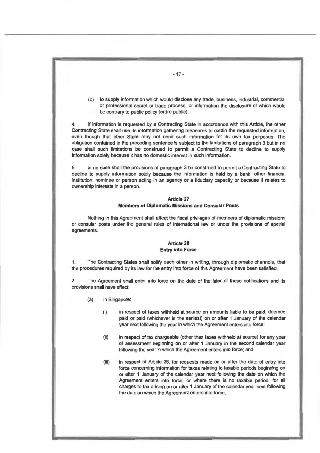(c) to supply information which would disclose any trade, business, industrial, commercial or professional secret or trade process, or information the disclosure of which would be contrary to public policy (ordre public).

4. If information is requested by a Contracting State in accordance with this Article, the other Contracting State shall use its information gathering measures to obtain the requested information, even though that other State may not need such information for its own tax purposes. The obligation contained in the preceding sentence is subject to the limitations of paragraph 3 but in no case shall such limitations be construed to permit a Contracting State to decline to supply information solely because it has no domestic interest in such information.

5. In no case shall the provisions of paragraph 3 be construed to permit a Contracting State to decline to supply information solely because the information is held by a bank, other financial institution, nominee or person acting in an agency or a fiduciary capacity or because it relates to ownership interests in a person.

# **Article 27 Members of Diplomatic Missions and Consular Posts**

Nothing in this Agreement shall affect the fiscal privileges of members of diplomatic missions or consular posts under the general rules of international law or under the provisions of special agreements.

# **Article 28 Entry into Force**

1. The Contracting States shall notify each other in writing, through diplomatic channels, that the procedures required by its law for the entry into force of this Agreement have been satisfied.

2. The Agreement shall enter into force on the date of the later of these notifications and its provisions shall have effect:

- (a) in Singapore:
	- (i) in respect of taxes withheld at source on amounts liable to be paid, deemed paid or paid (whichever is the earliest) on or after 1 January of the calendar year next following the year in which the Agreement enters into force;
	- (ii) in respect of tax chargeable (other than taxes withheld at source) for any year of assessment beginning on or after 1 January in the second calendar year following the year in which the Agreement enters into force; and
	- (iii) in respect of Article 26, for requests made on or after the date of entry into force concerning information for taxes relating to taxable periods beginning on or after 1 January of the calendar year next following the date on which the Agreement enters into force; or where there is no taxable period, for all charges to tax arising on or after 1 January of the calendar year next following the date on which the Agreement enters into force;

- 17-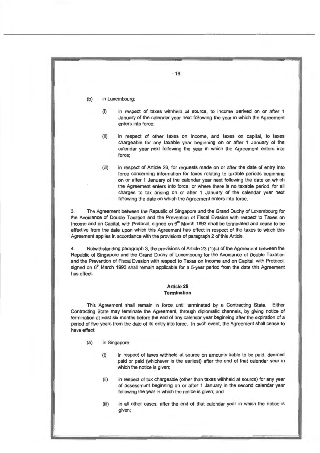#### (b) in Luxembourg:

- (i) in respect of taxes withheld at source, to income derived on or after 1 January of the calendar year next following the year in which the Agreement enters into force;
- (ii) in respect of other taxes on income, and taxes on capital, to taxes chargeable for any taxable year beginning on or after 1 January of the calendar year next following the year in which the Agreement enters into force;
- (iii) in respect of Article 26, for requests made on or after the date of entry into force concerning information for taxes relating to taxable periods beginning on or after 1 January of the calendar year next following the date on which the Agreement enters into force; or where there is no taxable period, for all charges to tax arising on or after 1 January of the calendar year next following the date on which the Agreement enters into force.

3. The Agreement between the Republic of Singapore and the Grand Duchy of Luxembourg for the Avoidance of Double Taxation and the Prevention of Fiscal Evasion with respect to Taxes on Income and on Capital, with Protocol, signed on 6<sup>th</sup> March 1993 shall be terminated and cease to be effective from the date upon which this Agreement has effect in respect of the taxes to which this Agreement applies in accordance with the provisions of paragraph 2 of this Article.

4. Notwithstanding paragraph 3, the provisions of Article 23 (1 )(c) of the Agreement between the Republic of Singapore and the Grand Duchy of Luxembourg for the Avoidance of Double Taxation and the Prevention of Fiscal Evasion with respect to Taxes on Income and on Capital, with Protocol, signed on  $6<sup>th</sup>$  March 1993 shall remain applicable for a 5-year period from the date this Agreement has effect.

# **Article 29 Termination**

This Agreement shall remain in force until terminated by a Contracting State. Either Contracting State may terminate the Agreement, through diplomatic channels, by giving notice of termination at least six months before the end of any calendar year beginning after the expiration of a period of five years from the date of its entry into force. In such event, the Agreement shall cease to have effect:

- (a) in Singapore:
	- (i) in respect of taxes withheld at source on amounts liable to be paid, deemed paid or paid (whichever is the earliest) after the end of that calendar year in which the notice is given;
	- (ii) in respect of tax chargeable (other than taxes withheld at source) for any year of assessment beginning on or after 1 January in the second calendar year following the year in which the notice is given; and
	- (iii) in all other cases, after the end of that calendar year in which the notice is given;

- 18-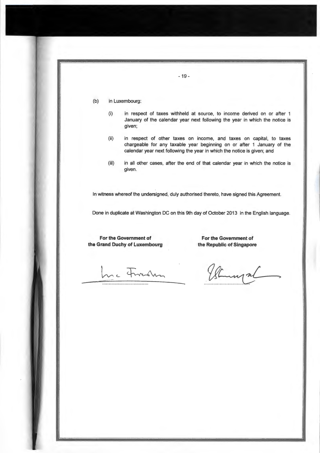### (b) in Luxembourg:

- (i) in respect of taxes withheld at source, to income derived on or after 1 January of the calendar year next following the year in which the notice is given;
- (ii) in respect of other taxes on income, and taxes on capital, to taxes chargeable for any taxable year beginning on or after 1 January of the calendar year next following the year in which the notice is given; and
- (iii) in all other cases, after the end of that calendar year in which the notice is given.

In witness whereof the undersigned, duly authorised thereto, have signed this Agreement.

Done in duplicate at Washington DC on this 9th day of October 2013 in the English language.

**For the Government of the Grand Duchy of Luxembourg** 

**For the Government of the Republic of Singapore** 

Inc Franch

*rtft* ~----:> 29 mai

 $-19-$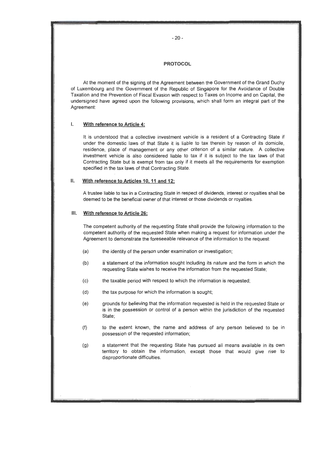# **PROTOCOL**

At the moment of the signing of the Agreement between the Government of the Grand Duchy of Luxembourg and the Government of the Republic of Singapore for the Avoidance of Double Taxation and the Prevention of Fiscal Evasion with respect to Taxes on Income and on Capital, the undersigned have agreed upon the following provisions, which shall form an integral part of the Agreement:

#### I. **With reference to Article 4:**

It is understood that a collective investment vehicle is a resident of a Contracting State if under the domestic laws of that State it is liable to tax therein by reason of its domicile, residence, place of management or any other criterion of a similar nature. A collective investment vehicle is also considered liable to tax if it is subject to the tax laws of that Contracting State but is exempt from tax only if it meets all the requirements for exemption specified in the tax laws of that Contracting State.

#### II. **With reference to Articles 10, 11 and 12:**

A trustee liable to tax in a Contracting State in respect of dividends, interest or royalties shall be deemed to be the beneficial owner of that interest or those dividends or royalties.

#### Ill. **With reference to Article 26:**

The competent authority of the requesting State shall provide the following information to the competent authority of the requested State when making a request for information under the Agreement to demonstrate the foreseeable relevance of the information to the request:

- (a) the identity of the person under examination or investigation;
- (b) a statement of the information sought including its nature and the form in which the requesting State wishes to receive the information from the requested State;
- (c) the taxable period with respect to which the information is requested;
- (d) the tax purpose for which the information is sought;
- (e) grounds for believing that the information requested is held in the requested State or is in the possession or control of a person within the jurisdiction of the requested State;
- (f) to the extent known, the name and address of any person believed to be in possession of the requested information;
- (g) a statement that the requesting State has pursued all means available in its own territory to obtain the information, except those that would give rise to disproportionate difficulties.

- 20-